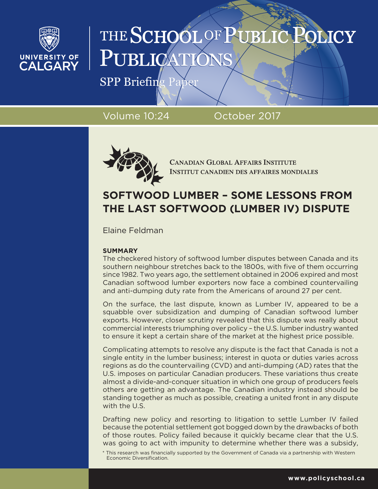

# THE SCHOOL OF PUBL PUBLICA

 $SPP$  Briefing Paper

Volume 10:24 October 2017



**CANADIAN GLOBAL AFFAIRS INSTITUTE INSTITUT CANADIEN DES AFFAIRES MONDIALES** 

# **SOFTWOOD LUMBER – SOME LESSONS FROM THE LAST SOFTWOOD (LUMBER IV) DISPUTE**

Elaine Feldman

# **SUMMARY**

The checkered history of softwood lumber disputes between Canada and its southern neighbour stretches back to the 1800s, with five of them occurring since 1982. Two years ago, the settlement obtained in 2006 expired and most Canadian softwood lumber exporters now face a combined countervailing and anti-dumping duty rate from the Americans of around 27 per cent.

On the surface, the last dispute, known as Lumber IV, appeared to be a squabble over subsidization and dumping of Canadian softwood lumber exports. However, closer scrutiny revealed that this dispute was really about commercial interests triumphing over policy – the U.S. lumber industry wanted to ensure it kept a certain share of the market at the highest price possible.

Complicating attempts to resolve any dispute is the fact that Canada is not a single entity in the lumber business; interest in quota or duties varies across regions as do the countervailing (CVD) and anti-dumping (AD) rates that the U.S. imposes on particular Canadian producers. These variations thus create almost a divide-and-conquer situation in which one group of producers feels others are getting an advantage. The Canadian industry instead should be standing together as much as possible, creating a united front in any dispute with the U.S.

Drafting new policy and resorting to litigation to settle Lumber IV failed because the potential settlement got bogged down by the drawbacks of both of those routes. Policy failed because it quickly became clear that the U.S. was going to act with impunity to determine whether there was a subsidy,

\* This research was financially supported by the Government of Canada via a partnership with Western Economic Diversification.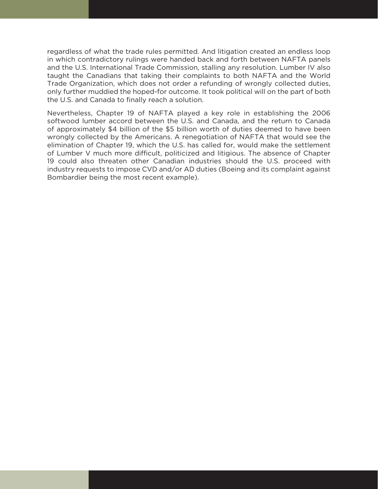regardless of what the trade rules permitted. And litigation created an endless loop in which contradictory rulings were handed back and forth between NAFTA panels and the U.S. International Trade Commission, stalling any resolution. Lumber IV also taught the Canadians that taking their complaints to both NAFTA and the World Trade Organization, which does not order a refunding of wrongly collected duties, only further muddied the hoped-for outcome. It took political will on the part of both the U.S. and Canada to finally reach a solution.

Nevertheless, Chapter 19 of NAFTA played a key role in establishing the 2006 softwood lumber accord between the U.S. and Canada, and the return to Canada of approximately \$4 billion of the \$5 billion worth of duties deemed to have been wrongly collected by the Americans. A renegotiation of NAFTA that would see the elimination of Chapter 19, which the U.S. has called for, would make the settlement of Lumber V much more difficult, politicized and litigious. The absence of Chapter 19 could also threaten other Canadian industries should the U.S. proceed with industry requests to impose CVD and/or AD duties (Boeing and its complaint against Bombardier being the most recent example).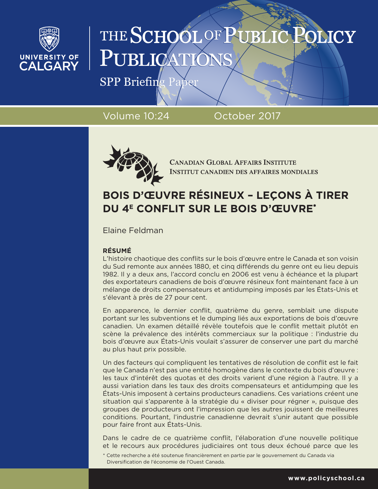

# THE SCHOOL OF PUBL PUBLICA

SPP Briefing Paper

Volume 10:24 October 2017



**CANADIAN GLOBAL AFFAIRS INSTITUTE INSTITUT CANADIEN DES AFFAIRES MONDIALES** 

# **BOIS D'ŒUVRE RÉSINEUX – LEÇONS À TIRER DU 4<sup>E</sup> CONFLIT SUR LE BOIS D'ŒUVRE\***

Elaine Feldman

# **RÉSUMÉ**

L'histoire chaotique des conflits sur le bois d'œuvre entre le Canada et son voisin du Sud remonte aux années 1880, et cinq différends du genre ont eu lieu depuis 1982. Il y a deux ans, l'accord conclu en 2006 est venu à échéance et la plupart des exportateurs canadiens de bois d'œuvre résineux font maintenant face à un mélange de droits compensateurs et antidumping imposés par les États-Unis et s'élevant à près de 27 pour cent.

En apparence, le dernier conflit, quatrième du genre, semblait une dispute portant sur les subventions et le dumping liés aux exportations de bois d'œuvre canadien. Un examen détaillé révèle toutefois que le conflit mettait plutôt en scène la prévalence des intérêts commerciaux sur la politique : l'industrie du bois d'œuvre aux États-Unis voulait s'assurer de conserver une part du marché au plus haut prix possible.

Un des facteurs qui compliquent les tentatives de résolution de conflit est le fait que le Canada n'est pas une entité homogène dans le contexte du bois d'œuvre : les taux d'intérêt des quotas et des droits varient d'une région à l'autre. Il y a aussi variation dans les taux des droits compensateurs et antidumping que les États-Unis imposent à certains producteurs canadiens. Ces variations créent une situation qui s'apparente à la stratégie du « diviser pour régner », puisque des groupes de producteurs ont l'impression que les autres jouissent de meilleures conditions. Pourtant, l'industrie canadienne devrait s'unir autant que possible pour faire front aux États-Unis.

Dans le cadre de ce quatrième conflit, l'élaboration d'une nouvelle politique et le recours aux procédures judiciaires ont tous deux échoué parce que les

\* Cette recherche a été soutenue financièrement en partie par le gouvernement du Canada via Diversification de l'économie de l'Ouest Canada.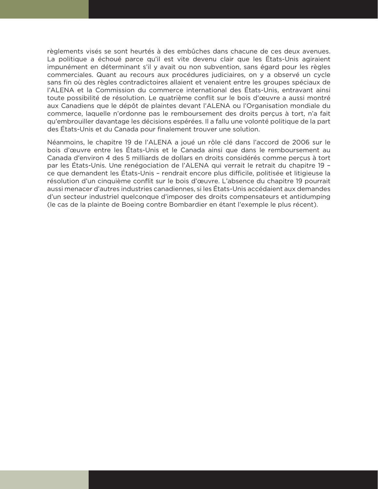règlements visés se sont heurtés à des embûches dans chacune de ces deux avenues. La politique a échoué parce qu'il est vite devenu clair que les États-Unis agiraient impunément en déterminant s'il y avait ou non subvention, sans égard pour les règles commerciales. Quant au recours aux procédures judiciaires, on y a observé un cycle sans fin où des règles contradictoires allaient et venaient entre les groupes spéciaux de l'ALENA et la Commission du commerce international des États-Unis, entravant ainsi toute possibilité de résolution. Le quatrième conflit sur le bois d'œuvre a aussi montré aux Canadiens que le dépôt de plaintes devant l'ALENA ou l'Organisation mondiale du commerce, laquelle n'ordonne pas le remboursement des droits perçus à tort, n'a fait qu'embrouiller davantage les décisions espérées. Il a fallu une volonté politique de la part des États-Unis et du Canada pour finalement trouver une solution.

Néanmoins, le chapitre 19 de l'ALENA a joué un rôle clé dans l'accord de 2006 sur le bois d'œuvre entre les États-Unis et le Canada ainsi que dans le remboursement au Canada d'environ 4 des 5 milliards de dollars en droits considérés comme perçus à tort par les États-Unis. Une renégociation de l'ALENA qui verrait le retrait du chapitre 19 – ce que demandent les États-Unis – rendrait encore plus difficile, politisée et litigieuse la résolution d'un cinquième conflit sur le bois d'œuvre. L'absence du chapitre 19 pourrait aussi menacer d'autres industries canadiennes, si les États-Unis accédaient aux demandes d'un secteur industriel quelconque d'imposer des droits compensateurs et antidumping (le cas de la plainte de Boeing contre Bombardier en étant l'exemple le plus récent).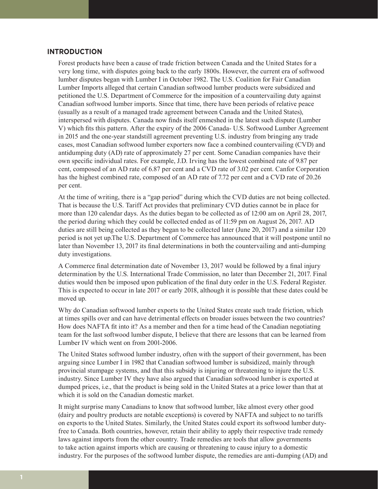# **INTRODUCTION**

Forest products have been a cause of trade friction between Canada and the United States for a very long time, with disputes going back to the early 1800s. However, the current era of softwood lumber disputes began with Lumber I in October 1982. The U.S. Coalition for Fair Canadian Lumber Imports alleged that certain Canadian softwood lumber products were subsidized and petitioned the U.S. Department of Commerce for the imposition of a countervailing duty against Canadian softwood lumber imports. Since that time, there have been periods of relative peace (usually as a result of a managed trade agreement between Canada and the United States), interspersed with disputes. Canada now finds itself enmeshed in the latest such dispute (Lumber V) which fits this pattern. After the expiry of the 2006 Canada- U.S. Softwood Lumber Agreement in 2015 and the one-year standstill agreement preventing U.S. industry from bringing any trade cases, most Canadian softwood lumber exporters now face a combined countervailing (CVD) and antidumping duty (AD) rate of approximately 27 per cent. Some Canadian companies have their own specific individual rates. For example, J.D. Irving has the lowest combined rate of 9.87 per cent, composed of an AD rate of 6.87 per cent and a CVD rate of 3.02 per cent. Canfor Corporation has the highest combined rate, composed of an AD rate of 7.72 per cent and a CVD rate of 20.26 per cent.

At the time of writing, there is a "gap period" during which the CVD duties are not being collected. That is because the U.S. Tariff Act provides that preliminary CVD duties cannot be in place for more than 120 calendar days. As the duties began to be collected as of 12:00 am on April 28, 2017, the period during which they could be collected ended as of 11:59 pm on August 26, 2017. AD duties are still being collected as they began to be collected later (June 20, 2017) and a similar 120 period is not yet up.The U.S. Department of Commerce has announced that it will postpone until no later than November 13, 2017 its final determinations in both the countervailing and anti-dumping duty investigations.

A Commerce final determination date of November 13, 2017 would be followed by a final injury determination by the U.S. International Trade Commission, no later than December 21, 2017. Final duties would then be imposed upon publication of the final duty order in the U.S. Federal Register. This is expected to occur in late 2017 or early 2018, although it is possible that these dates could be moved up.

Why do Canadian softwood lumber exports to the United States create such trade friction, which at times spills over and can have detrimental effects on broader issues between the two countries? How does NAFTA fit into it? As a member and then for a time head of the Canadian negotiating team for the last softwood lumber dispute, I believe that there are lessons that can be learned from Lumber IV which went on from 2001-2006.

The United States softwood lumber industry, often with the support of their government, has been arguing since Lumber I in 1982 that Canadian softwood lumber is subsidized, mainly through provincial stumpage systems, and that this subsidy is injuring or threatening to injure the U.S. industry. Since Lumber IV they have also argued that Canadian softwood lumber is exported at dumped prices, i.e., that the product is being sold in the United States at a price lower than that at which it is sold on the Canadian domestic market.

It might surprise many Canadians to know that softwood lumber, like almost every other good (dairy and poultry products are notable exceptions) is covered by NAFTA and subject to no tariffs on exports to the United States. Similarly, the United States could export its softwood lumber dutyfree to Canada. Both countries, however, retain their ability to apply their respective trade remedy laws against imports from the other country. Trade remedies are tools that allow governments to take action against imports which are causing or threatening to cause injury to a domestic industry. For the purposes of the softwood lumber dispute, the remedies are anti-dumping (AD) and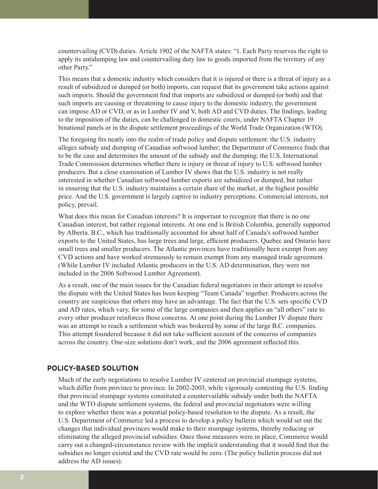countervailing (CVD) duties. Article 1902 of the NAFTA states: "1. Each Party reserves the right to apply its antidumping law and countervailing duty law to goods imported from the territory of any other Party."

This means that a domestic industry which considers that it is injured or there is a threat of injury as a result of subsidized or dumped (or both) imports, can request that its government take actions against such imports. Should the government find that imports are subsidized or dumped (or both) and that such imports are causing or threatening to cause injury to the domestic industry, the government can impose AD or CVD, or as in Lumber IV and V, both AD and CVD duties. The findings, leading to the imposition of the duties, can be challenged in domestic courts, under NAFTA Chapter 19 binational panels or in the dispute settlement proceedings of the World Trade Organization (WTO).

The foregoing fits neatly into the realm of trade policy and dispute settlement: the U.S. industry alleges subsidy and dumping of Canadian softwood lumber; the Department of Commerce finds that to be the case and determines the amount of the subsidy and the dumping; the U.S. International Trade Commission determines whether there is injury or threat of injury to U.S. softwood lumber producers. But a close examination of Lumber IV shows that the U.S. industry is not really interested in whether Canadian softwood lumber exports are subsidized or dumped, but rather in ensuring that the U.S. industry maintains a certain share of the market, at the highest possible price. And the U.S. government is largely captive to industry perceptions. Commercial interests, not policy, prevail.

What does this mean for Canadian interests? It is important to recognize that there is no one Canadian interest, but rather regional interests. At one end is British Columbia, generally supported by Alberta. B.C., which has traditionally accounted for about half of Canada's softwood lumber exports to the United States, has large trees and large, efficient producers. Quebec and Ontario have small trees and smaller producers. The Atlantic provinces have traditionally been exempt from any CVD actions and have worked strenuously to remain exempt from any managed trade agreement. (While Lumber IV included Atlantic producers in the U.S. AD determination, they were not included in the 2006 Softwood Lumber Agreement).

As a result, one of the main issues for the Canadian federal negotiators in their attempt to resolve the dispute with the United States has been keeping "Team Canada" together. Producers across the country are suspicious that others may have an advantage. The fact that the U.S. sets specific CVD and AD rates, which vary, for some of the large companies and then applies an "all others" rate to every other producer reinforces those concerns. At one point during the Lumber IV dispute there was an attempt to reach a settlement which was brokered by some of the large B.C. companies. This attempt foundered because it did not take sufficient account of the concerns of companies across the country. One-size solutions don't work, and the 2006 agreement reflected this.

## **POLICY-BASED SOLUTION**

Much of the early negotiations to resolve Lumber IV centered on provincial stumpage systems, which differ from province to province. In 2002-2003, while vigorously contesting the U.S. finding that provincial stumpage systems constituted a countervailable subsidy under both the NAFTA and the WTO dispute settlement systems, the federal and provincial negotiators were willing to explore whether there was a potential policy-based resolution to the dispute. As a result, the U.S. Department of Commerce led a process to develop a policy bulletin which would set out the changes that individual provinces would make to their stumpage systems, thereby reducing or eliminating the alleged provincial subsidies. Once those measures were in place, Commerce would carry out a changed-circumstance review with the implicit understanding that it would find that the subsidies no longer existed and the CVD rate would be zero. (The policy bulletin process did not address the AD issues).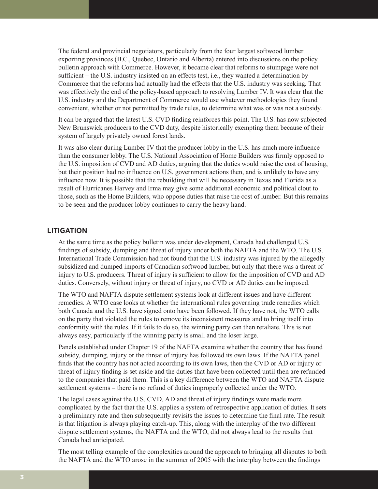The federal and provincial negotiators, particularly from the four largest softwood lumber exporting provinces (B.C., Quebec, Ontario and Alberta) entered into discussions on the policy bulletin approach with Commerce. However, it became clear that reforms to stumpage were not sufficient – the U.S. industry insisted on an effects test, i.e., they wanted a determination by Commerce that the reforms had actually had the effects that the U.S. industry was seeking. That was effectively the end of the policy-based approach to resolving Lumber IV. It was clear that the U.S. industry and the Department of Commerce would use whatever methodologies they found convenient, whether or not permitted by trade rules, to determine what was or was not a subsidy.

It can be argued that the latest U.S. CVD finding reinforces this point. The U.S. has now subjected New Brunswick producers to the CVD duty, despite historically exempting them because of their system of largely privately owned forest lands.

It was also clear during Lumber IV that the producer lobby in the U.S. has much more influence than the consumer lobby. The U.S. National Association of Home Builders was firmly opposed to the U.S. imposition of CVD and AD duties, arguing that the duties would raise the cost of housing, but their position had no influence on U.S. government actions then, and is unlikely to have any influence now. It is possible that the rebuilding that will be necessary in Texas and Florida as a result of Hurricanes Harvey and Irma may give some additional economic and political clout to those, such as the Home Builders, who oppose duties that raise the cost of lumber. But this remains to be seen and the producer lobby continues to carry the heavy hand.

# **LITIGATION**

At the same time as the policy bulletin was under development, Canada had challenged U.S. findings of subsidy, dumping and threat of injury under both the NAFTA and the WTO. The U.S. International Trade Commission had not found that the U.S. industry was injured by the allegedly subsidized and dumped imports of Canadian softwood lumber, but only that there was a threat of injury to U.S. producers. Threat of injury is sufficient to allow for the imposition of CVD and AD duties. Conversely, without injury or threat of injury, no CVD or AD duties can be imposed.

The WTO and NAFTA dispute settlement systems look at different issues and have different remedies. A WTO case looks at whether the international rules governing trade remedies which both Canada and the U.S. have signed onto have been followed. If they have not, the WTO calls on the party that violated the rules to remove its inconsistent measures and to bring itself into conformity with the rules. If it fails to do so, the winning party can then retaliate. This is not always easy, particularly if the winning party is small and the loser large.

Panels established under Chapter 19 of the NAFTA examine whether the country that has found subsidy, dumping, injury or the threat of injury has followed its own laws. If the NAFTA panel finds that the country has not acted according to its own laws, then the CVD or AD or injury or threat of injury finding is set aside and the duties that have been collected until then are refunded to the companies that paid them. This is a key difference between the WTO and NAFTA dispute settlement systems – there is no refund of duties improperly collected under the WTO.

The legal cases against the U.S. CVD, AD and threat of injury findings were made more complicated by the fact that the U.S. applies a system of retrospective application of duties. It sets a preliminary rate and then subsequently revisits the issues to determine the final rate. The result is that litigation is always playing catch-up. This, along with the interplay of the two different dispute settlement systems, the NAFTA and the WTO, did not always lead to the results that Canada had anticipated.

The most telling example of the complexities around the approach to bringing all disputes to both the NAFTA and the WTO arose in the summer of 2005 with the interplay between the findings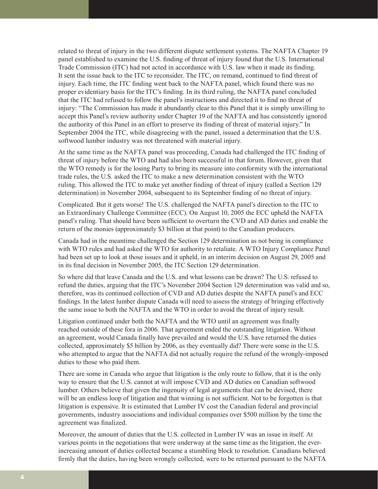related to threat of injury in the two different dispute settlement systems. The NAFTA Chapter 19 panel established to examine the U.S. finding of threat of injury found that the U.S. International Trade Commission (ITC) had not acted in accordance with U.S. law when it made its finding. It sent the issue back to the ITC to reconsider. The ITC, on remand, continued to find threat of injury. Each time, the ITC finding went back to the NAFTA panel, which found there was no proper evidentiary basis for the ITC's finding. In its third ruling, the NAFTA panel concluded that the ITC had refused to follow the panel's instructions and directed it to find no threat of injury: "The Commission has made it abundantly clear to this Panel that it is simply unwilling to accept this Panel's review authority under Chapter 19 of the NAFTA and has consistently ignored the authority of this Panel in an effort to preserve its finding of threat of material injury." In September 2004 the ITC, while disagreeing with the panel, issued a determination that the U.S. softwood lumber industry was not threatened with material injury.

At the same time as the NAFTA panel was proceeding, Canada had challenged the ITC finding of threat of injury before the WTO and had also been successful in that forum. However, given that the WTO remedy is for the losing Party to bring its measure into conformity with the international trade rules, the U.S. asked the ITC to make a new determination consistent with the WTO ruling. This allowed the ITC to make yet another finding of threat of injury (called a Section 129 determination) in November 2004, subsequent to its September finding of no threat of injury.

Complicated. But it gets worse! The U.S. challenged the NAFTA panel's direction to the ITC to an Extraordinary Challenge Committee (ECC). On August 10, 2005 the ECC upheld the NAFTA panel's ruling. That should have been sufficient to overturn the CVD and AD duties and enable the return of the monies (approximately \$3 billion at that point) to the Canadian producers.

Canada had in the meantime challenged the Section 129 determination as not being in compliance with WTO rules and had asked the WTO for authority to retaliate. A WTO Injury Compliance Panel had been set up to look at those issues and it upheld, in an interim decision on August 29, 2005 and in its final decision in November 2005, the ITC Section 129 determination.

So where did that leave Canada and the U.S. and what lessons can be drawn? The U.S. refused to refund the duties, arguing that the ITC's November 2004 Section 129 determination was valid and so, therefore, was its continued collection of CVD and AD duties despite the NAFTA panel's and ECC findings. In the latest lumber dispute Canada will need to assess the strategy of bringing effectively the same issue to both the NAFTA and the WTO in order to avoid the threat of injury result.

Litigation continued under both the NAFTA and the WTO until an agreement was finally reached outside of these fora in 2006. That agreement ended the outstanding litigation. Without an agreement, would Canada finally have prevailed and would the U.S. have returned the duties collected, approximately \$5 billion by 2006, as they eventually did? There were some in the U.S. who attempted to argue that the NAFTA did not actually require the refund of the wrongly-imposed duties to those who paid them.

There are some in Canada who argue that litigation is the only route to follow, that it is the only way to ensure that the U.S. cannot at will impose CVD and AD duties on Canadian softwood lumber. Others believe that given the ingenuity of legal arguments that can be devised, there will be an endless loop of litigation and that winning is not sufficient. Not to be forgotten is that litigation is expensive. It is estimated that Lumber IV cost the Canadian federal and provincial governments, industry associations and individual companies over \$500 million by the time the agreement was finalized.

Moreover, the amount of duties that the U.S. collected in Lumber IV was an issue in itself. At various points in the negotiations that were underway at the same time as the litigation, the everincreasing amount of duties collected became a stumbling block to resolution. Canadians believed firmly that the duties, having been wrongly collected, were to be returned pursuant to the NAFTA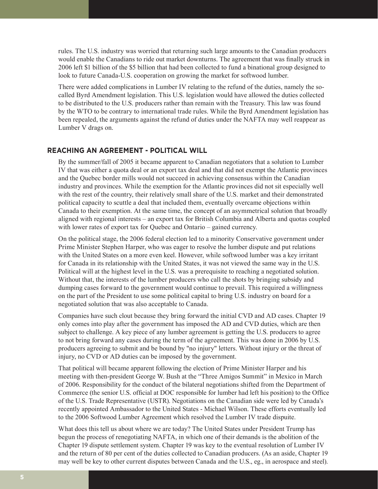rules. The U.S. industry was worried that returning such large amounts to the Canadian producers would enable the Canadians to ride out market downturns. The agreement that was finally struck in 2006 left \$1 billion of the \$5 billion that had been collected to fund a binational group designed to look to future Canada-U.S. cooperation on growing the market for softwood lumber.

There were added complications in Lumber IV relating to the refund of the duties, namely the socalled Byrd Amendment legislation. This U.S. legislation would have allowed the duties collected to be distributed to the U.S. producers rather than remain with the Treasury. This law was found by the WTO to be contrary to international trade rules. While the Byrd Amendment legislation has been repealed, the arguments against the refund of duties under the NAFTA may well reappear as Lumber V drags on.

## **REACHING AN AGREEMENT - POLITICAL WILL**

By the summer/fall of 2005 it became apparent to Canadian negotiators that a solution to Lumber IV that was either a quota deal or an export tax deal and that did not exempt the Atlantic provinces and the Quebec border mills would not succeed in achieving consensus within the Canadian industry and provinces. While the exemption for the Atlantic provinces did not sit especially well with the rest of the country, their relatively small share of the U.S. market and their demonstrated political capacity to scuttle a deal that included them, eventually overcame objections within Canada to their exemption. At the same time, the concept of an asymmetrical solution that broadly aligned with regional interests – an export tax for British Columbia and Alberta and quotas coupled with lower rates of export tax for Quebec and Ontario – gained currency.

On the political stage, the 2006 federal election led to a minority Conservative government under Prime Minister Stephen Harper, who was eager to resolve the lumber dispute and put relations with the United States on a more even keel. However, while softwood lumber was a key irritant for Canada in its relationship with the United States, it was not viewed the same way in the U.S. Political will at the highest level in the U.S. was a prerequisite to reaching a negotiated solution. Without that, the interests of the lumber producers who call the shots by bringing subsidy and dumping cases forward to the government would continue to prevail. This required a willingness on the part of the President to use some political capital to bring U.S. industry on board for a negotiated solution that was also acceptable to Canada.

Companies have such clout because they bring forward the initial CVD and AD cases. Chapter 19 only comes into play after the government has imposed the AD and CVD duties, which are then subject to challenge. A key piece of any lumber agreement is getting the U.S. producers to agree to not bring forward any cases during the term of the agreement. This was done in 2006 by U.S. producers agreeing to submit and be bound by "no injury" letters. Without injury or the threat of injury, no CVD or AD duties can be imposed by the government.

That political will became apparent following the election of Prime Minister Harper and his meeting with then-president George W. Bush at the "Three Amigos Summit" in Mexico in March of 2006. Responsibility for the conduct of the bilateral negotiations shifted from the Department of Commerce (the senior U.S. official at DOC responsible for lumber had left his position) to the Office of the U.S. Trade Representative (USTR). Negotiations on the Canadian side were led by Canada's recently appointed Ambassador to the United States - Michael Wilson. These efforts eventually led to the 2006 Softwood Lumber Agreement which resolved the Lumber IV trade dispuite.

What does this tell us about where we are today? The United States under President Trump has begun the process of renegotiating NAFTA, in which one of their demands is the abolition of the Chapter 19 dispute settlement system. Chapter 19 was key to the eventual resolution of Lumber IV and the return of 80 per cent of the duties collected to Canadian producers. (As an aside, Chapter 19 may well be key to other current disputes between Canada and the U.S., eg., in aerospace and steel).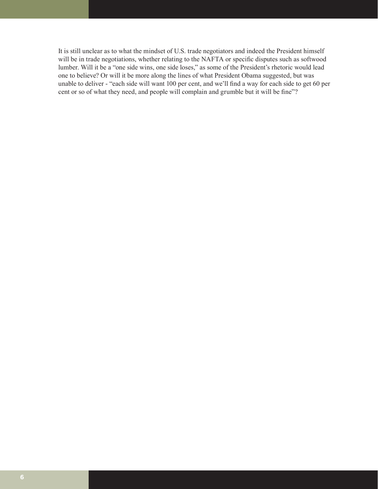It is still unclear as to what the mindset of U.S. trade negotiators and indeed the President himself will be in trade negotiations, whether relating to the NAFTA or specific disputes such as softwood lumber. Will it be a "one side wins, one side loses," as some of the President's rhetoric would lead one to believe? Or will it be more along the lines of what President Obama suggested, but was unable to deliver - "each side will want 100 per cent, and we'll find a way for each side to get 60 per cent or so of what they need, and people will complain and grumble but it will be fine"?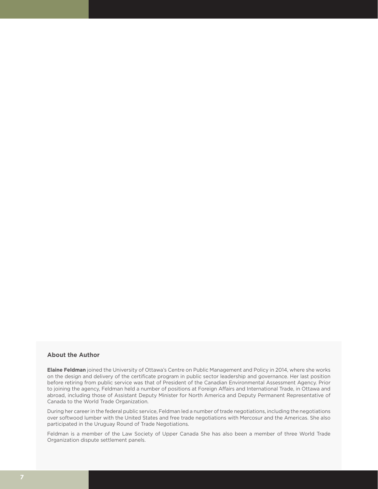#### **About the Author**

**Elaine Feldman** joined the University of Ottawa's Centre on Public Management and Policy in 2014, where she works on the design and delivery of the certificate program in public sector leadership and governance. Her last position before retiring from public service was that of President of the Canadian Environmental Assessment Agency. Prior to joining the agency, Feldman held a number of positions at Foreign Affairs and International Trade, in Ottawa and abroad, including those of Assistant Deputy Minister for North America and Deputy Permanent Representative of Canada to the World Trade Organization.

During her career in the federal public service, Feldman led a number of trade negotiations, including the negotiations over softwood lumber with the United States and free trade negotiations with Mercosur and the Americas. She also participated in the Uruguay Round of Trade Negotiations.

Feldman is a member of the Law Society of Upper Canada She has also been a member of three World Trade Organization dispute settlement panels.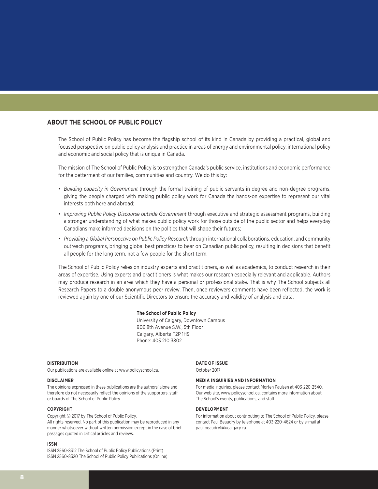### **ABOUT THE SCHOOL OF PUBLIC POLICY**

The School of Public Policy has become the flagship school of its kind in Canada by providing a practical, global and focused perspective on public policy analysis and practice in areas of energy and environmental policy, international policy and economic and social policy that is unique in Canada.

The mission of The School of Public Policy is to strengthen Canada's public service, institutions and economic performance for the betterment of our families, communities and country. We do this by:

- *Building capacity in Government* through the formal training of public servants in degree and non-degree programs, giving the people charged with making public policy work for Canada the hands-on expertise to represent our vital interests both here and abroad;
- *Improving Public Policy Discourse outside Government* through executive and strategic assessment programs, building a stronger understanding of what makes public policy work for those outside of the public sector and helps everyday Canadians make informed decisions on the politics that will shape their futures;
- *Providing a Global Perspective on Public Policy Research* through international collaborations, education, and community outreach programs, bringing global best practices to bear on Canadian public policy, resulting in decisions that benefit all people for the long term, not a few people for the short term.

The School of Public Policy relies on industry experts and practitioners, as well as academics, to conduct research in their areas of expertise. Using experts and practitioners is what makes our research especially relevant and applicable. Authors may produce research in an area which they have a personal or professional stake. That is why The School subjects all Research Papers to a double anonymous peer review. Then, once reviewers comments have been reflected, the work is reviewed again by one of our Scientific Directors to ensure the accuracy and validity of analysis and data.

#### **The School of Public Policy**

University of Calgary, Downtown Campus 906 8th Avenue S.W., 5th Floor Calgary, Alberta T2P 1H9 Phone: 403 210 3802

#### **DISTRIBUTION**

Our publications are available online at www.policyschool.ca.

#### **DISCLAIMER**

The opinions expressed in these publications are the authors' alone and therefore do not necessarily reflect the opinions of the supporters, staff, or boards of The School of Public Policy.

#### **COPYRIGHT**

Copyright © 2017 by The School of Public Policy. All rights reserved. No part of this publication may be reproduced in any manner whatsoever without written permission except in the case of brief passages quoted in critical articles and reviews.

#### **ISSN**

ISSN 2560-8312 The School of Public Policy Publications (Print) ISSN 2560-8320 The School of Public Policy Publications (Online)

#### **DATE OF ISSUE**

October 2017

#### **MEDIA INQUIRIES AND INFORMATION**

For media inquiries, please contact Morten Paulsen at 403-220-2540. Our web site, www.policyschool.ca, contains more information about The School's events, publications, and staff.

#### **DEVELOPMENT**

For information about contributing to The School of Public Policy, please contact Paul Beaudry by telephone at 403-220-4624 or by e-mail at paul.beaudry1@ucalgary.ca.